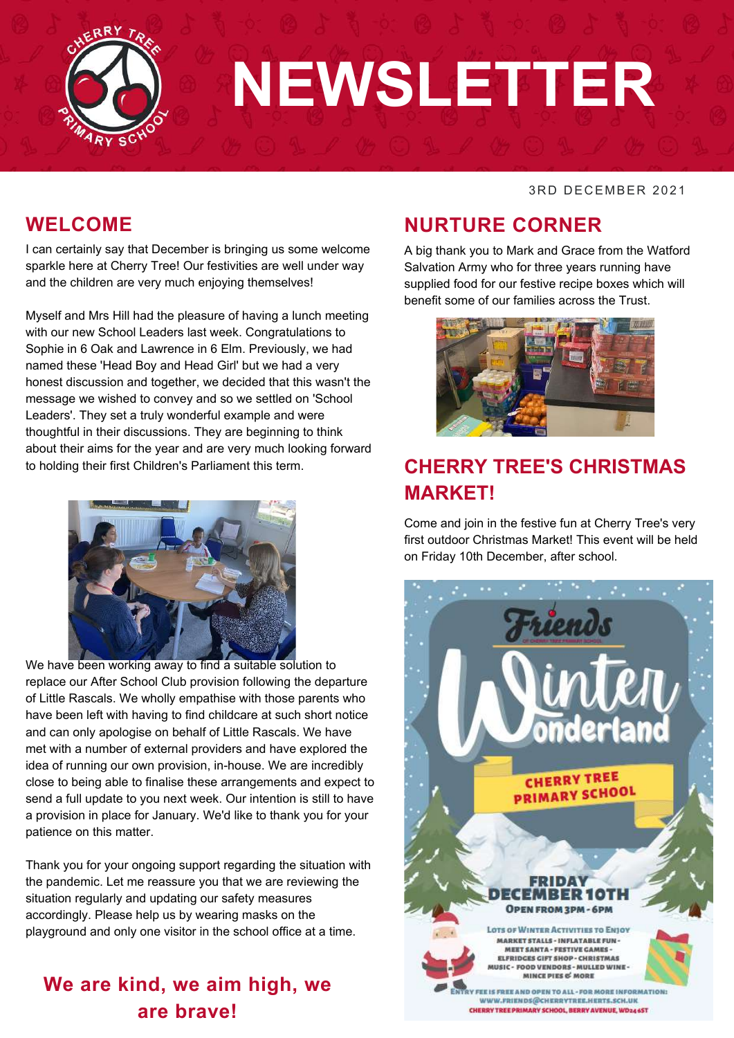

# **NEWSLETTER**

#### 3RD DECEMBER 2021

#### **WELCOME**

I can certainly say that December is bringing us some welcome sparkle here at Cherry Tree! Our festivities are well under way and the children are very much enjoying themselves!

Myself and Mrs Hill had the pleasure of having a lunch meeting with our new School Leaders last week. Congratulations to Sophie in 6 Oak and Lawrence in 6 Elm. Previously, we had named these 'Head Boy and Head Girl' but we had a very honest discussion and together, we decided that this wasn't the message we wished to convey and so we settled on 'School Leaders'. They set a truly wonderful example and were thoughtful in their discussions. They are beginning to think about their aims for the year and are very much looking forward to holding their first Children's Parliament this term.



We have been working away to find a suitable solution to replace our After School Club provision following the departure of Little Rascals. We wholly empathise with those parents who have been left with having to find childcare at such short notice and can only apologise on behalf of Little Rascals. We have met with a number of external providers and have explored the idea of running our own provision, in-house. We are incredibly close to being able to finalise these arrangements and expect to send a full update to you next week. Our intention is still to have a provision in place for January. We'd like to thank you for your patience on this matter.

Thank you for your ongoing support regarding the situation with the pandemic. Let me reassure you that we are reviewing the situation regularly and updating our safety measures accordingly. Please help us by wearing masks on the playground and only one visitor in the school office at a time.

#### **We are kind, we aim high, we are brave!**

#### **NURTURE CORNER**

A big thank you to Mark and Grace from the Watford Salvation Army who for three years running have supplied food for our festive recipe boxes which will benefit some of our families across the Trust.



## **CHERRY TREE'S CHRISTMAS MARKET!**

Come and join in the festive fun at Cherry Tree's very first outdoor Christmas Market! This event will be held on Friday 10th December, after school.

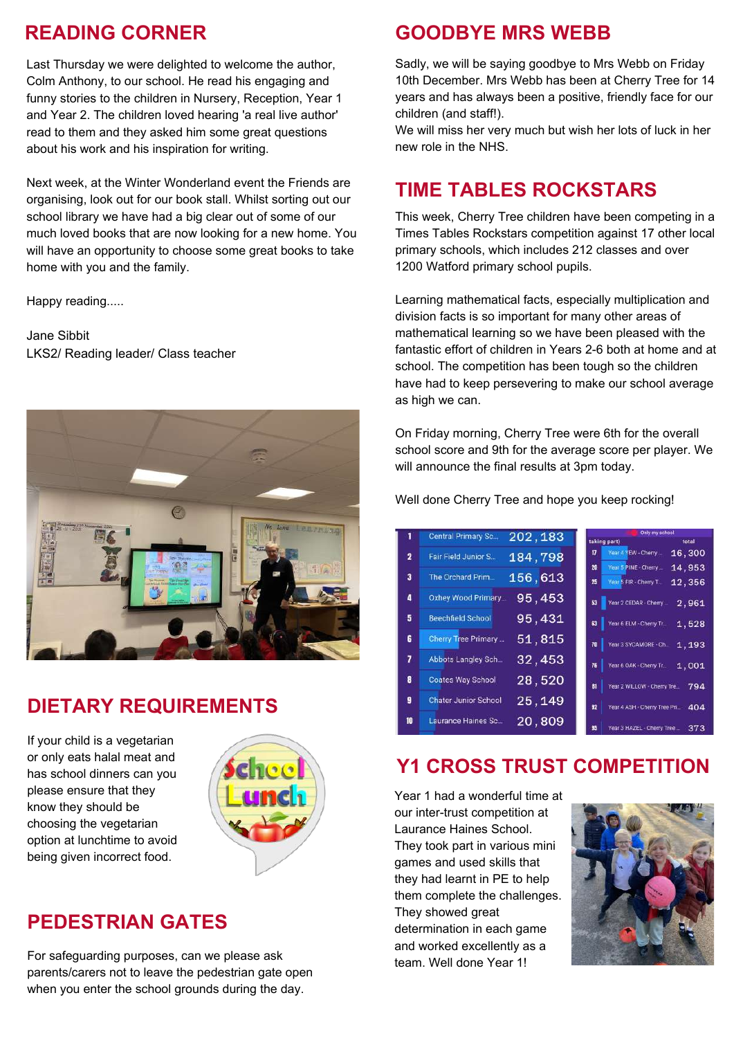#### **READING CORNER**

Last Thursday we were delighted to welcome the author, Colm Anthony, to our school. He read his engaging and funny stories to the children in Nursery, Reception, Year 1 and Year 2. The children loved hearing 'a real live author' read to them and they asked him some great questions about his work and his inspiration for writing.

Next week, at the Winter Wonderland event the Friends are organising, look out for our book stall. Whilst sorting out our school library we have had a big clear out of some of our much loved books that are now looking for a new home. You will have an opportunity to choose some great books to take home with you and the family.

Happy reading.....

Jane Sibbit LKS2/ Reading leader/ Class teacher



## **DIETARY REQUIREMENTS**

If your child is a vegetarian or only eats halal meat and has school dinners can you please ensure that they know they should be choosing the vegetarian option at lunchtime to avoid being given incorrect food.



#### **PEDESTRIAN GATES**

For safeguarding purposes, can we please ask parents/carers not to leave the pedestrian gate open when you enter the school grounds during the day.

#### **GOODBYE MRS WEBB**

Sadly, we will be saying goodbye to Mrs Webb on Friday 10th December. Mrs Webb has been at Cherry Tree for 14 years and has always been a positive, friendly face for our children (and staff!).

We will miss her very much but wish her lots of luck in her new role in the NHS.

#### **TIME TABLES ROCKSTARS**

This week, Cherry Tree children have been competing in a Times Tables Rockstars competition against 17 other local primary schools, which includes 212 classes and over 1200 Watford primary school pupils.

Learning mathematical facts, especially multiplication and division facts is so important for many other areas of mathematical learning so we have been pleased with the fantastic effort of children in Years 2-6 both at home and at school. The competition has been tough so the children have had to keep persevering to make our school average as high we can.

On Friday morning, Cherry Tree were 6th for the overall school score and 9th for the average score per player. We will announce the final results at 3pm today.

Well done Cherry Tree and hope you keep rocking!

| 1              | Central Primary Sc          |         | Only my school                     |        |
|----------------|-----------------------------|---------|------------------------------------|--------|
|                |                             | 202,183 | taking part)                       | total  |
| $\overline{2}$ | Fair Field Junior S         | 184,798 | Year 4 YEW - Cherry<br>17          | 16,300 |
|                |                             |         | 20<br>Year 5 PINE - Cherry         | 14,953 |
| 3              | The Orchard Prim            | 156,613 | Vear 5 FIR - Cherry T.<br>25       | 12,356 |
| 4              | Oxhey Wood Primary          | 95,453  | Year 2 CEDAR - Cherry<br>53        | 2.961  |
| 5              | <b>Beechfield School</b>    | 95,431  | Year 6 ELM - Cherry Tr<br>63       | 1,528  |
| 6              | Cherry Tree Primary         | 51,815  | Year 3 SYCAMORE - Ch.<br>70        | 1,193  |
| 7              | Abbots Langley Sch          | 32,453  | Year 6 OAK - Cherry Tr<br>76       | 1,001  |
| 8              | <b>Coates Way School</b>    | 28,520  | Year 2 WILLOW - Cherry Tre<br>81   | 794    |
| 9              | <b>Chater Junior School</b> | 25,149  | Year 4 ASH - Cherry Tree Pri<br>92 | 404    |
| 10             | Laurance Haines Sc          | 20,809  | Year 3 HAZEL - Cherry Tree<br>95   | 373    |

#### **Y1 CROSS TRUST COMPETITION**

Year 1 had a wonderful time at our inter-trust competition at Laurance Haines School. They took part in various mini games and used skills that they had learnt in PE to help them complete the challenges. They showed great determination in each game and worked excellently as a team. Well done Year 1!

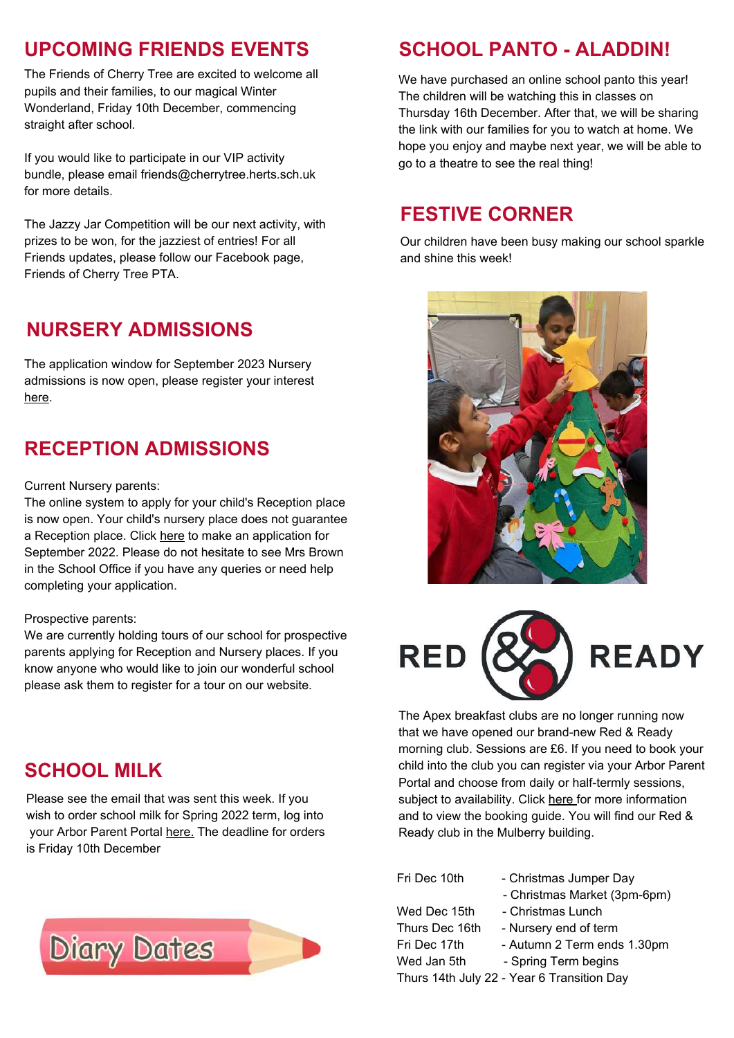#### **UPCOMING FRIENDS EVENTS**

The Friends of Cherry Tree are excited to welcome all pupils and their families, to our magical Winter Wonderland, Friday 10th December, commencing straight after school.

If you would like to participate in our VIP activity bundle, please email friends@cherrytree.herts.sch.uk for more details.

The Jazzy Jar Competition will be our next activity, with prizes to be won, for the jazziest of entries! For all Friends updates, please follow our Facebook page, Friends of Cherry Tree PTA.

## **NURSERY ADMISSIONS**

The application window for September 2023 Nursery admissions is now open, please register your interest [here.](https://forms.office.com/r/0dupw0CY0E)

# **RECEPTION ADMISSIONS**

#### Current Nursery [parents:](https://cherry-tree-primary.uk.arbor.sc/)

The online system to apply for your child's Reception place is now open. Your child's nursery place does not guarantee a Reception place. Click [here](https://www.hertfordshire.gov.uk/services/schools-and-education/school-admissions/primary-junior-and-middle-schools/primary-junior-and-middle-school-places.aspx) to make an [application](https://cherry-tree-primary.uk.arbor.sc/) for September 2022. Please do not hesitate to see Mrs Brown in the School Office if you have any queries or need help completing your [application.](https://cherry-tree-primary.uk.arbor.sc/)

#### [Prospective](https://cherry-tree-primary.uk.arbor.sc/) parents:

We are currently holding tours of our school for [prospective](https://cherry-tree-primary.uk.arbor.sc/) parents applying for Reception and Nursery places. If you know anyone who would like to join our wonderful school please ask them to register for a tour on our website.

## **SCHOOL MILK**

Please see the email that was sent this week. If you wish to order school milk for Spring 2022 term, log into your Arbor Parent Portal [here.](https://cherry-tree-primary.uk.arbor.sc/) The deadline for orders is Friday 10th December



# **SCHOOL PANTO - ALADDIN!**

We have purchased an online school panto this year! The children will be watching this in classes on Thursday 16th December. After that, we will be sharing the link with our families for you to watch at home. We hope you enjoy and maybe next year, we will be able to go to a theatre to see the real thing!

## **FESTIVE CORNER**

Our children have been busy making our school sparkle and shine this week!





The Apex breakfast clubs are no longer running now that we have opened our brand-new Red & Ready morning club. Sessions are £6. If you need to book your child into the club you can register via your Arbor Parent Portal and choose from daily or half-termly sessions, subject to availability. Click [here](https://www.cherrytree.herts.sch.uk/clubs) for more information and to view the booking guide. You will find our Red & Ready club in the Mulberry building.

Fri Dec 10th - Christmas Jumper Day - Christmas Market (3pm-6pm) Wed Dec 15th - Christmas Lunch Thurs Dec 16th - Nursery end of term Fri Dec 17th - Autumn 2 Term ends 1.30pm Wed Jan 5th - Spring Term begins Thurs 14th July 22 - Year 6 Transition Day